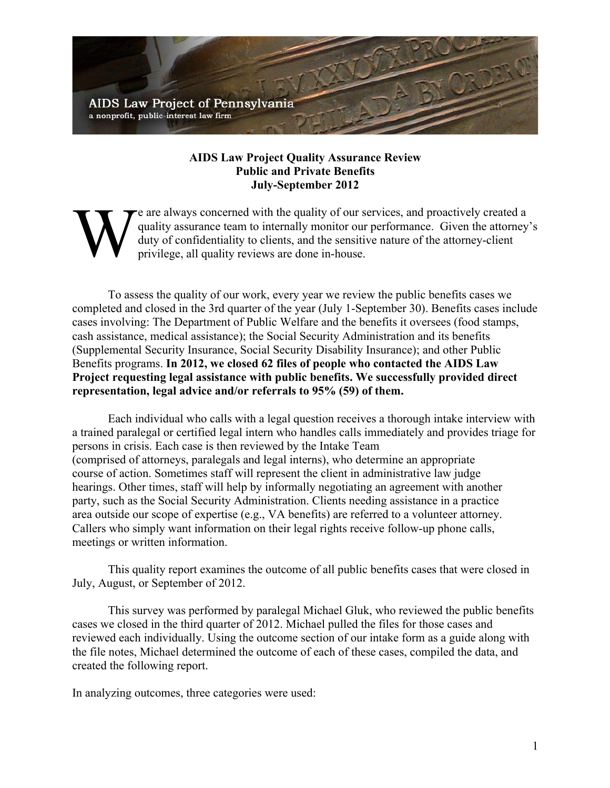

## **AIDS Law Project Quality Assurance Review Public and Private Benefits July-September 2012**

e are always concerned with the quality of our services, and proactively created a quality assurance team to internally monitor our performance. Given the attorney's duty of confidentiality to clients, and the sensitive nature of the attorney-client privilege, all quality reviews are done in-house. W

To assess the quality of our work, every year we review the public benefits cases we completed and closed in the 3rd quarter of the year (July 1-September 30). Benefits cases include cases involving: The Department of Public Welfare and the benefits it oversees (food stamps, cash assistance, medical assistance); the Social Security Administration and its benefits (Supplemental Security Insurance, Social Security Disability Insurance); and other Public Benefits programs. **In 2012, we closed 62 files of people who contacted the AIDS Law Project requesting legal assistance with public benefits. We successfully provided direct representation, legal advice and/or referrals to 95% (59) of them.**

Each individual who calls with a legal question receives a thorough intake interview with a trained paralegal or certified legal intern who handles calls immediately and provides triage for persons in crisis. Each case is then reviewed by the Intake Team (comprised of attorneys, paralegals and legal interns), who determine an appropriate course of action. Sometimes staff will represent the client in administrative law judge hearings. Other times, staff will help by informally negotiating an agreement with another party, such as the Social Security Administration. Clients needing assistance in a practice area outside our scope of expertise (e.g., VA benefits) are referred to a volunteer attorney. Callers who simply want information on their legal rights receive follow-up phone calls, meetings or written information.

This quality report examines the outcome of all public benefits cases that were closed in July, August, or September of 2012.

This survey was performed by paralegal Michael Gluk, who reviewed the public benefits cases we closed in the third quarter of 2012. Michael pulled the files for those cases and reviewed each individually. Using the outcome section of our intake form as a guide along with the file notes, Michael determined the outcome of each of these cases, compiled the data, and created the following report.

In analyzing outcomes, three categories were used: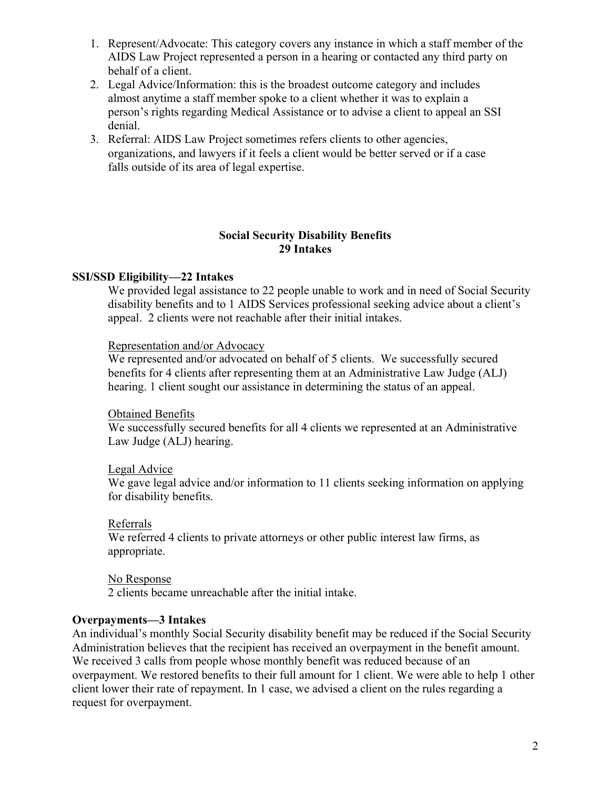- 1. Represent/Advocate: This category covers any instance in which a staff member of the AIDS Law Project represented a person in a hearing or contacted any third party on behalf of a client.
- 2. Legal Advice/Information: this is the broadest outcome category and includes almost anytime a staff member spoke to a client whether it was to explain a person's rights regarding Medical Assistance or to advise a client to appeal an SSI denial.
- 3. Referral: AIDS Law Project sometimes refers clients to other agencies, organizations, and lawyers if it feels a client would be better served or if a case falls outside of its area of legal expertise.

## **Social Security Disability Benefits 29 Intakes**

# **SSI/SSD Eligibility—22 Intakes**

We provided legal assistance to 22 people unable to work and in need of Social Security disability benefits and to 1 AIDS Services professional seeking advice about a client's appeal. 2 clients were not reachable after their initial intakes.

# Representation and/or Advocacy

We represented and/or advocated on behalf of 5 clients. We successfully secured benefits for 4 clients after representing them at an Administrative Law Judge (ALJ) hearing. 1 client sought our assistance in determining the status of an appeal.

# Obtained Benefits

We successfully secured benefits for all 4 clients we represented at an Administrative Law Judge (ALJ) hearing.

# Legal Advice

We gave legal advice and/or information to 11 clients seeking information on applying for disability benefits.

# Referrals

We referred 4 clients to private attorneys or other public interest law firms, as appropriate.

#### No Response

2 clients became unreachable after the initial intake.

# **Overpayments—3 Intakes**

An individual's monthly Social Security disability benefit may be reduced if the Social Security Administration believes that the recipient has received an overpayment in the benefit amount. We received 3 calls from people whose monthly benefit was reduced because of an overpayment. We restored benefits to their full amount for 1 client. We were able to help 1 other client lower their rate of repayment. In 1 case, we advised a client on the rules regarding a request for overpayment.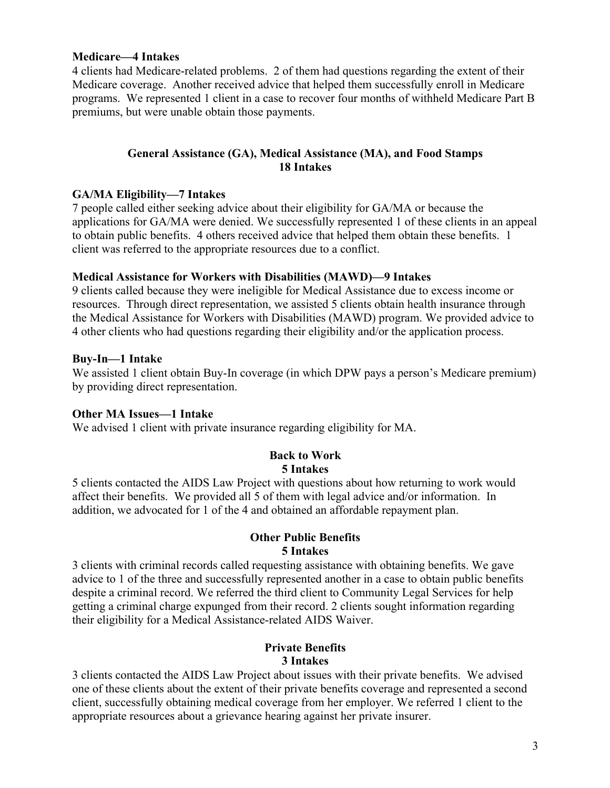#### **Medicare—4 Intakes**

4 clients had Medicare-related problems. 2 of them had questions regarding the extent of their Medicare coverage. Another received advice that helped them successfully enroll in Medicare programs. We represented 1 client in a case to recover four months of withheld Medicare Part B premiums, but were unable obtain those payments.

## **General Assistance (GA), Medical Assistance (MA), and Food Stamps 18 Intakes**

## **GA/MA Eligibility—7 Intakes**

7 people called either seeking advice about their eligibility for GA/MA or because the applications for GA/MA were denied. We successfully represented 1 of these clients in an appeal to obtain public benefits. 4 others received advice that helped them obtain these benefits. 1 client was referred to the appropriate resources due to a conflict.

#### **Medical Assistance for Workers with Disabilities (MAWD)—9 Intakes**

9 clients called because they were ineligible for Medical Assistance due to excess income or resources. Through direct representation, we assisted 5 clients obtain health insurance through the Medical Assistance for Workers with Disabilities (MAWD) program. We provided advice to 4 other clients who had questions regarding their eligibility and/or the application process.

## **Buy-In—1 Intake**

We assisted 1 client obtain Buy-In coverage (in which DPW pays a person's Medicare premium) by providing direct representation.

# **Other MA Issues—1 Intake**

We advised 1 client with private insurance regarding eligibility for MA.

#### **Back to Work 5 Intakes**

5 clients contacted the AIDS Law Project with questions about how returning to work would affect their benefits. We provided all 5 of them with legal advice and/or information. In addition, we advocated for 1 of the 4 and obtained an affordable repayment plan.

#### **Other Public Benefits 5 Intakes**

3 clients with criminal records called requesting assistance with obtaining benefits. We gave advice to 1 of the three and successfully represented another in a case to obtain public benefits despite a criminal record. We referred the third client to Community Legal Services for help getting a criminal charge expunged from their record. 2 clients sought information regarding their eligibility for a Medical Assistance-related AIDS Waiver.

## **Private Benefits 3 Intakes**

3 clients contacted the AIDS Law Project about issues with their private benefits. We advised one of these clients about the extent of their private benefits coverage and represented a second client, successfully obtaining medical coverage from her employer. We referred 1 client to the appropriate resources about a grievance hearing against her private insurer.